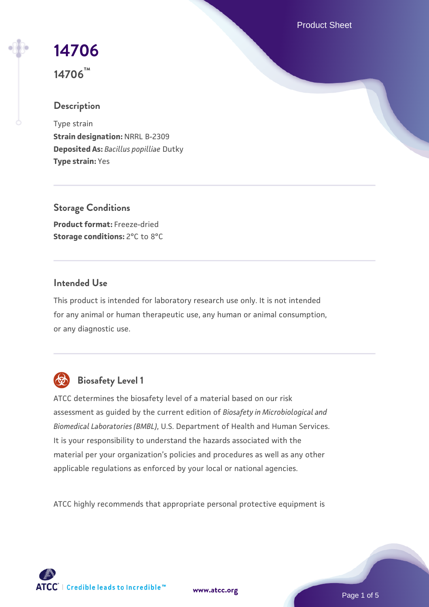Product Sheet

# **[14706](https://www.atcc.org/products/14706)**

**14706™**

## **Description**

Type strain **Strain designation:** NRRL B-2309 **Deposited As:** *Bacillus popilliae* Dutky **Type strain:** Yes

**Storage Conditions Product format:** Freeze-dried **Storage conditions: 2°C to 8°C** 

## **Intended Use**

This product is intended for laboratory research use only. It is not intended for any animal or human therapeutic use, any human or animal consumption, or any diagnostic use.



## **Biosafety Level 1**

ATCC determines the biosafety level of a material based on our risk assessment as guided by the current edition of *Biosafety in Microbiological and Biomedical Laboratories (BMBL)*, U.S. Department of Health and Human Services. It is your responsibility to understand the hazards associated with the material per your organization's policies and procedures as well as any other applicable regulations as enforced by your local or national agencies.

ATCC highly recommends that appropriate personal protective equipment is

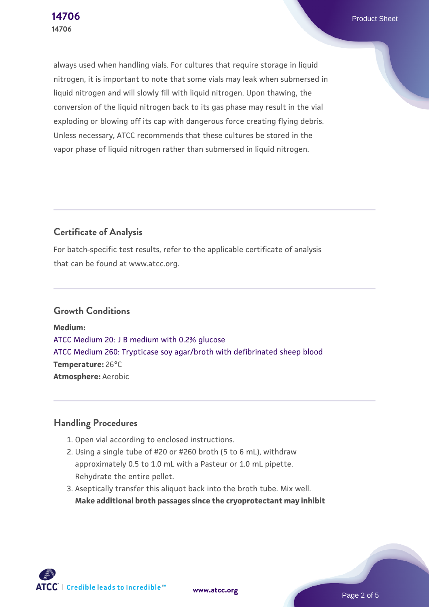always used when handling vials. For cultures that require storage in liquid nitrogen, it is important to note that some vials may leak when submersed in liquid nitrogen and will slowly fill with liquid nitrogen. Upon thawing, the conversion of the liquid nitrogen back to its gas phase may result in the vial exploding or blowing off its cap with dangerous force creating flying debris. Unless necessary, ATCC recommends that these cultures be stored in the vapor phase of liquid nitrogen rather than submersed in liquid nitrogen.

## **Certificate of Analysis**

For batch-specific test results, refer to the applicable certificate of analysis that can be found at www.atcc.org.

## **Growth Conditions**

**Medium:**  [ATCC Medium 20: J B medium with 0.2% glucose](https://www.atcc.org/-/media/product-assets/documents/microbial-media-formulations/2/0/atcc-medium-20.pdf?rev=be1451d463b64e1c9ec63e61a992556a) [ATCC Medium 260: Trypticase soy agar/broth with defibrinated sheep blood](https://www.atcc.org/-/media/product-assets/documents/microbial-media-formulations/2/6/0/atcc-medium-0260.pdf?rev=5d6614780b1c4acf817a324e2507f087) **Temperature:** 26°C **Atmosphere:** Aerobic

## **Handling Procedures**

- 1. Open vial according to enclosed instructions.
- 2. Using a single tube of #20 or #260 broth (5 to 6 mL), withdraw approximately 0.5 to 1.0 mL with a Pasteur or 1.0 mL pipette. Rehydrate the entire pellet.
- 3. Aseptically transfer this aliquot back into the broth tube. Mix well. **Make additional broth passages since the cryoprotectant may inhibit**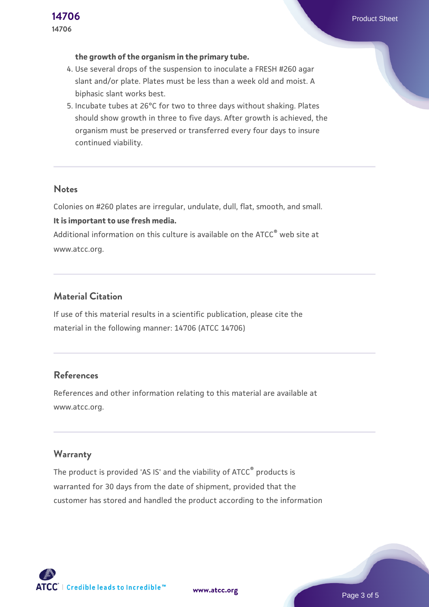#### **the growth of the organism in the primary tube.**

- 4. Use several drops of the suspension to inoculate a FRESH #260 agar slant and/or plate. Plates must be less than a week old and moist. A biphasic slant works best.
- 5. Incubate tubes at 26°C for two to three days without shaking. Plates should show growth in three to five days. After growth is achieved, the organism must be preserved or transferred every four days to insure continued viability.

#### **Notes**

Colonies on #260 plates are irregular, undulate, dull, flat, smooth, and small. **It is important to use fresh media.**

Additional information on this culture is available on the ATCC® web site at www.atcc.org.

## **Material Citation**

If use of this material results in a scientific publication, please cite the material in the following manner: 14706 (ATCC 14706)

## **References**

References and other information relating to this material are available at www.atcc.org.

## **Warranty**

The product is provided 'AS IS' and the viability of ATCC® products is warranted for 30 days from the date of shipment, provided that the customer has stored and handled the product according to the information

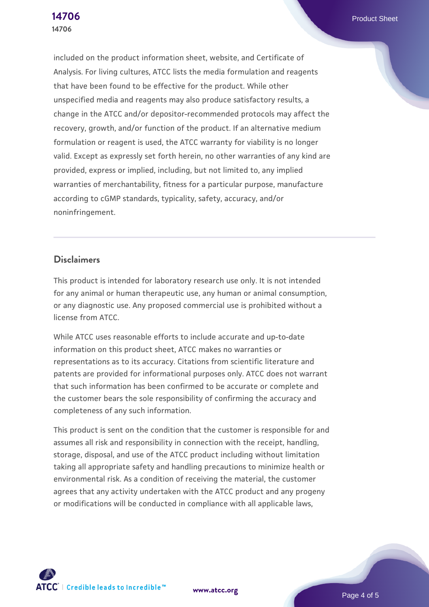included on the product information sheet, website, and Certificate of Analysis. For living cultures, ATCC lists the media formulation and reagents that have been found to be effective for the product. While other unspecified media and reagents may also produce satisfactory results, a change in the ATCC and/or depositor-recommended protocols may affect the recovery, growth, and/or function of the product. If an alternative medium formulation or reagent is used, the ATCC warranty for viability is no longer valid. Except as expressly set forth herein, no other warranties of any kind are provided, express or implied, including, but not limited to, any implied warranties of merchantability, fitness for a particular purpose, manufacture according to cGMP standards, typicality, safety, accuracy, and/or noninfringement.

## **Disclaimers**

This product is intended for laboratory research use only. It is not intended for any animal or human therapeutic use, any human or animal consumption, or any diagnostic use. Any proposed commercial use is prohibited without a license from ATCC.

While ATCC uses reasonable efforts to include accurate and up-to-date information on this product sheet, ATCC makes no warranties or representations as to its accuracy. Citations from scientific literature and patents are provided for informational purposes only. ATCC does not warrant that such information has been confirmed to be accurate or complete and the customer bears the sole responsibility of confirming the accuracy and completeness of any such information.

This product is sent on the condition that the customer is responsible for and assumes all risk and responsibility in connection with the receipt, handling, storage, disposal, and use of the ATCC product including without limitation taking all appropriate safety and handling precautions to minimize health or environmental risk. As a condition of receiving the material, the customer agrees that any activity undertaken with the ATCC product and any progeny or modifications will be conducted in compliance with all applicable laws,

**[www.atcc.org](http://www.atcc.org)**